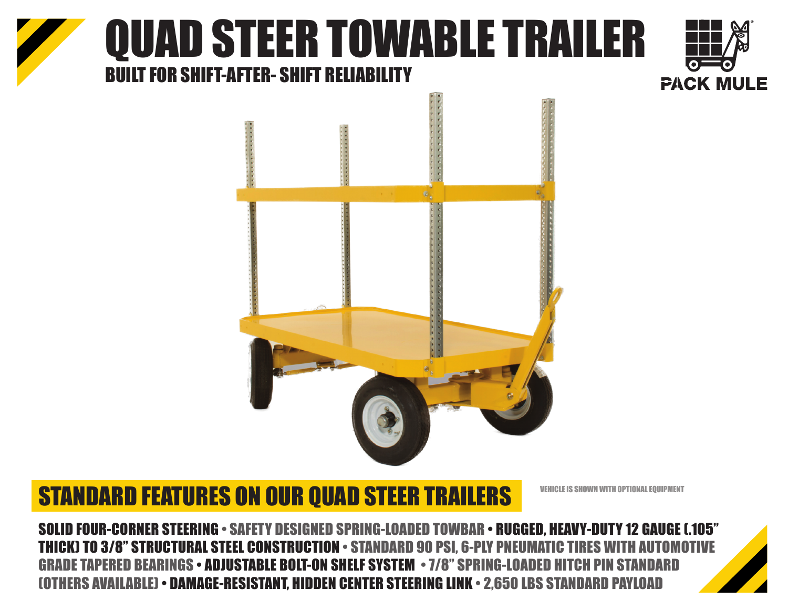## QUAD STEER TOWABLE TRAILER BUILT FOR SHIFT-AFTER- SHIFT RELIABILITY





### STANDARD FEATURES ON OUR QUAD STEER TRAILERS

VEHICLE IS SHOWN WITH OPTIONAL EQUIPMENT

SOLID FOUR-CORNER STEERING • SAFETY DESIGNED SPRING-LOADED TOWBAR • RUGGED, HEAVY-DUTY 12 GAUGE (.105" THICK) TO 3/8" STRUCTURAL STEEL CONSTRUCTION • STANDARD 90 PSI, 6-PLY PNI GRADE TAPERED BEARINGS • ADJUSTABLE BOLT-ON SHELF SYSTEM • 7/8" SPRING-LOADED (OTHERS AVAILABLE) • DAMAGE-RESISTANT, HIDDEN CENTER STEERING LINK • 2,650 LBS STANDARD PAYLOAD